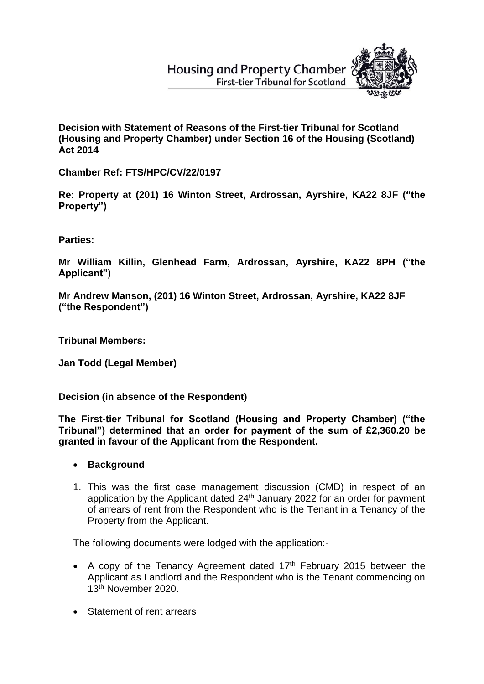**Housing and Property Chamber First-tier Tribunal for Scotland** 



**Decision with Statement of Reasons of the First-tier Tribunal for Scotland (Housing and Property Chamber) under Section 16 of the Housing (Scotland) Act 2014**

**Chamber Ref: FTS/HPC/CV/22/0197**

**Re: Property at (201) 16 Winton Street, Ardrossan, Ayrshire, KA22 8JF ("the Property")**

**Parties:**

**Mr William Killin, Glenhead Farm, Ardrossan, Ayrshire, KA22 8PH ("the Applicant")**

**Mr Andrew Manson, (201) 16 Winton Street, Ardrossan, Ayrshire, KA22 8JF ("the Respondent")** 

**Tribunal Members:**

**Jan Todd (Legal Member)**

**Decision (in absence of the Respondent)**

**The First-tier Tribunal for Scotland (Housing and Property Chamber) ("the Tribunal") determined that an order for payment of the sum of £2,360.20 be granted in favour of the Applicant from the Respondent.**

- **•** Background
- 1. This was the first case management discussion (CMD) in respect of an application by the Applicant dated 24<sup>th</sup> January 2022 for an order for payment of arrears of rent from the Respondent who is the Tenant in a Tenancy of the Property from the Applicant.

The following documents were lodged with the application:-

- A copy of the Tenancy Agreement dated  $17<sup>th</sup>$  February 2015 between the Applicant as Landlord and the Respondent who is the Tenant commencing on 13th November 2020.
- Statement of rent arrears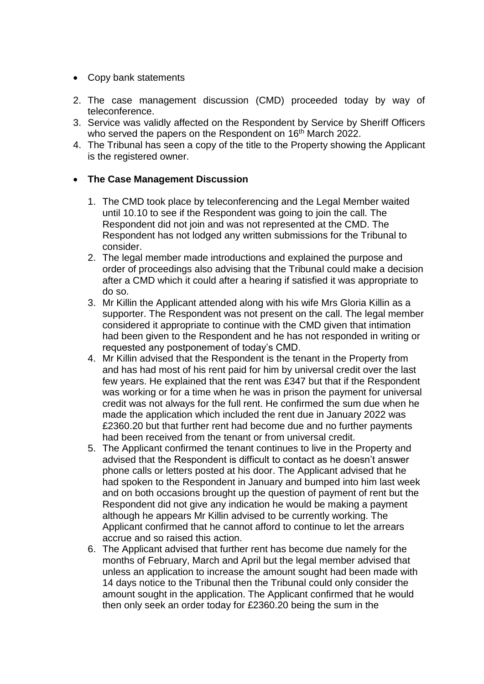- Copy bank statements
- 2. The case management discussion (CMD) proceeded today by way of teleconference.
- 3. Service was validly affected on the Respondent by Service by Sheriff Officers who served the papers on the Respondent on 16<sup>th</sup> March 2022.
- 4. The Tribunal has seen a copy of the title to the Property showing the Applicant is the registered owner.

### **The Case Management Discussion**

- 1. The CMD took place by teleconferencing and the Legal Member waited until 10.10 to see if the Respondent was going to join the call. The Respondent did not join and was not represented at the CMD. The Respondent has not lodged any written submissions for the Tribunal to consider.
- 2. The legal member made introductions and explained the purpose and order of proceedings also advising that the Tribunal could make a decision after a CMD which it could after a hearing if satisfied it was appropriate to do so.
- 3. Mr Killin the Applicant attended along with his wife Mrs Gloria Killin as a supporter. The Respondent was not present on the call. The legal member considered it appropriate to continue with the CMD given that intimation had been given to the Respondent and he has not responded in writing or requested any postponement of today's CMD.
- 4. Mr Killin advised that the Respondent is the tenant in the Property from and has had most of his rent paid for him by universal credit over the last few years. He explained that the rent was £347 but that if the Respondent was working or for a time when he was in prison the payment for universal credit was not always for the full rent. He confirmed the sum due when he made the application which included the rent due in January 2022 was £2360.20 but that further rent had become due and no further payments had been received from the tenant or from universal credit.
- 5. The Applicant confirmed the tenant continues to live in the Property and advised that the Respondent is difficult to contact as he doesn't answer phone calls or letters posted at his door. The Applicant advised that he had spoken to the Respondent in January and bumped into him last week and on both occasions brought up the question of payment of rent but the Respondent did not give any indication he would be making a payment although he appears Mr Killin advised to be currently working. The Applicant confirmed that he cannot afford to continue to let the arrears accrue and so raised this action.
- 6. The Applicant advised that further rent has become due namely for the months of February, March and April but the legal member advised that unless an application to increase the amount sought had been made with 14 days notice to the Tribunal then the Tribunal could only consider the amount sought in the application. The Applicant confirmed that he would then only seek an order today for £2360.20 being the sum in the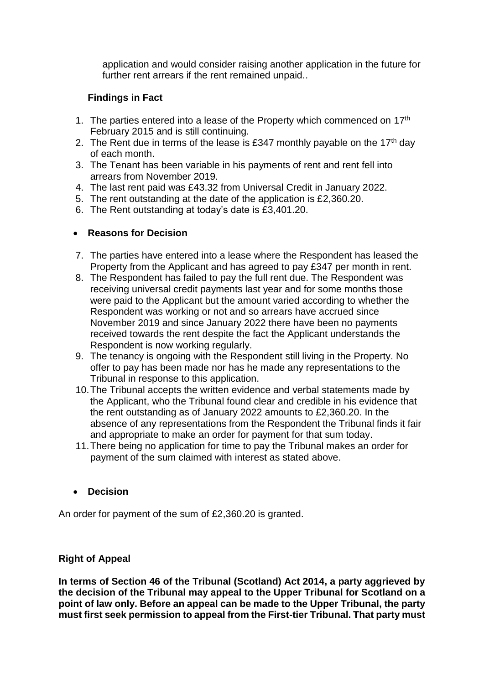application and would consider raising another application in the future for further rent arrears if the rent remained unpaid..

# **Findings in Fact**

- 1. The parties entered into a lease of the Property which commenced on  $17<sup>th</sup>$ February 2015 and is still continuing.
- 2. The Rent due in terms of the lease is £347 monthly payable on the 17<sup>th</sup> day of each month.
- 3. The Tenant has been variable in his payments of rent and rent fell into arrears from November 2019.
- 4. The last rent paid was £43.32 from Universal Credit in January 2022.
- 5. The rent outstanding at the date of the application is £2,360.20.
- 6. The Rent outstanding at today's date is £3,401.20.

### **Reasons for Decision**

- 7. The parties have entered into a lease where the Respondent has leased the Property from the Applicant and has agreed to pay £347 per month in rent.
- 8. The Respondent has failed to pay the full rent due. The Respondent was receiving universal credit payments last year and for some months those were paid to the Applicant but the amount varied according to whether the Respondent was working or not and so arrears have accrued since November 2019 and since January 2022 there have been no payments received towards the rent despite the fact the Applicant understands the Respondent is now working regularly.
- 9. The tenancy is ongoing with the Respondent still living in the Property. No offer to pay has been made nor has he made any representations to the Tribunal in response to this application.
- 10.The Tribunal accepts the written evidence and verbal statements made by the Applicant, who the Tribunal found clear and credible in his evidence that the rent outstanding as of January 2022 amounts to £2,360.20. In the absence of any representations from the Respondent the Tribunal finds it fair and appropriate to make an order for payment for that sum today.
- 11.There being no application for time to pay the Tribunal makes an order for payment of the sum claimed with interest as stated above.

## **Decision**

An order for payment of the sum of £2,360.20 is granted.

## **Right of Appeal**

**In terms of Section 46 of the Tribunal (Scotland) Act 2014, a party aggrieved by the decision of the Tribunal may appeal to the Upper Tribunal for Scotland on a point of law only. Before an appeal can be made to the Upper Tribunal, the party must first seek permission to appeal from the First-tier Tribunal. That party must**